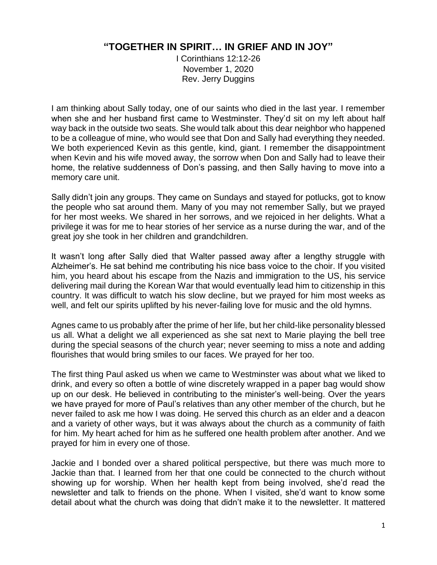## **"TOGETHER IN SPIRIT… IN GRIEF AND IN JOY"**

I Corinthians 12:12-26 November 1, 2020 Rev. Jerry Duggins

I am thinking about Sally today, one of our saints who died in the last year. I remember when she and her husband first came to Westminster. They'd sit on my left about half way back in the outside two seats. She would talk about this dear neighbor who happened to be a colleague of mine, who would see that Don and Sally had everything they needed. We both experienced Kevin as this gentle, kind, giant. I remember the disappointment when Kevin and his wife moved away, the sorrow when Don and Sally had to leave their home, the relative suddenness of Don's passing, and then Sally having to move into a memory care unit.

Sally didn't join any groups. They came on Sundays and stayed for potlucks, got to know the people who sat around them. Many of you may not remember Sally, but we prayed for her most weeks. We shared in her sorrows, and we rejoiced in her delights. What a privilege it was for me to hear stories of her service as a nurse during the war, and of the great joy she took in her children and grandchildren.

It wasn't long after Sally died that Walter passed away after a lengthy struggle with Alzheimer's. He sat behind me contributing his nice bass voice to the choir. If you visited him, you heard about his escape from the Nazis and immigration to the US, his service delivering mail during the Korean War that would eventually lead him to citizenship in this country. It was difficult to watch his slow decline, but we prayed for him most weeks as well, and felt our spirits uplifted by his never-failing love for music and the old hymns.

Agnes came to us probably after the prime of her life, but her child-like personality blessed us all. What a delight we all experienced as she sat next to Marie playing the bell tree during the special seasons of the church year; never seeming to miss a note and adding flourishes that would bring smiles to our faces. We prayed for her too.

The first thing Paul asked us when we came to Westminster was about what we liked to drink, and every so often a bottle of wine discretely wrapped in a paper bag would show up on our desk. He believed in contributing to the minister's well-being. Over the years we have prayed for more of Paul's relatives than any other member of the church, but he never failed to ask me how I was doing. He served this church as an elder and a deacon and a variety of other ways, but it was always about the church as a community of faith for him. My heart ached for him as he suffered one health problem after another. And we prayed for him in every one of those.

Jackie and I bonded over a shared political perspective, but there was much more to Jackie than that. I learned from her that one could be connected to the church without showing up for worship. When her health kept from being involved, she'd read the newsletter and talk to friends on the phone. When I visited, she'd want to know some detail about what the church was doing that didn't make it to the newsletter. It mattered